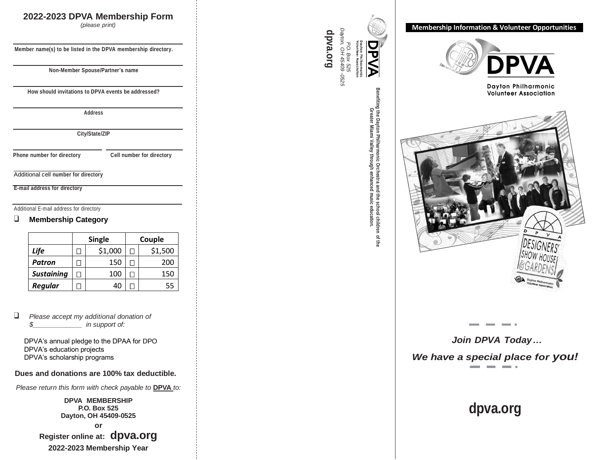### **202 2 -202 3 DP VA Membe rshi p Form**

*(please p rin t)*

**Member name(s) to be listed in the DP V A membership directo ry.**

**Non -Member Spouse/Partner's name**

**How should invitations to DP V A events be addressed?**

**Address**

**City/State/ZIP**

**Phone number for directory Cell number for directory**

 $\overline{\phantom{a}}$  ,  $\overline{\phantom{a}}$  ,  $\overline{\phantom{a}}$  ,  $\overline{\phantom{a}}$  ,  $\overline{\phantom{a}}$  ,  $\overline{\phantom{a}}$  ,  $\overline{\phantom{a}}$  ,  $\overline{\phantom{a}}$  ,  $\overline{\phantom{a}}$  ,  $\overline{\phantom{a}}$  ,  $\overline{\phantom{a}}$  ,  $\overline{\phantom{a}}$  ,  $\overline{\phantom{a}}$  ,  $\overline{\phantom{a}}$  ,  $\overline{\phantom{a}}$  ,  $\overline{\phantom{a}}$ Additional cell **number for directory**

**E -mail address for directo r y**

Additional E-mail address for directory

#### ❑ **Membership Category**

|                   | <b>Single</b> |         | Couple |         |
|-------------------|---------------|---------|--------|---------|
| Life              |               | \$1,000 |        | \$1,500 |
| Patron            |               | 150     |        | 200     |
| <b>Sustaining</b> |               | 100     |        | 150     |
| Regular           |               | 40      |        | 55      |

❑ *Please accept my additional donation of \$\_\_\_\_\_\_\_\_\_\_\_\_\_ in support of:*

 DPVA's annual pledge to the DPAA for DPO DPVA's education projects DPVA's scholarship programs

#### **Dues and donations are 100% ta x deducti b l e .**

*Please return this form with check payable to* **DPVA** *to*:

**DP VA MEMBERSHIP P.O. Box 525 D ayton, OH 45409 -0525**

**or**

**Register online at: dp[va.o](http://www.dpva.org/)rg 202 2 -202 3 Membership Year**

*Dayton, P.O. OH* ए *Box 45409 -0525 525*

**[dpva.org](http://www.dpva.org/)**

**Benefiting the Dayton Philharmonic Orchestra and the school children of the Greater Miami Valley through enhanced music education.**

**Membership Information & Volunteer Opportunitie s** 



Dayton Philharmonic **Volunteer Association** 



*Join DPVA Toda y … We have a special place for you!*

# **[dpva.org](http://www.dpva.org/)**